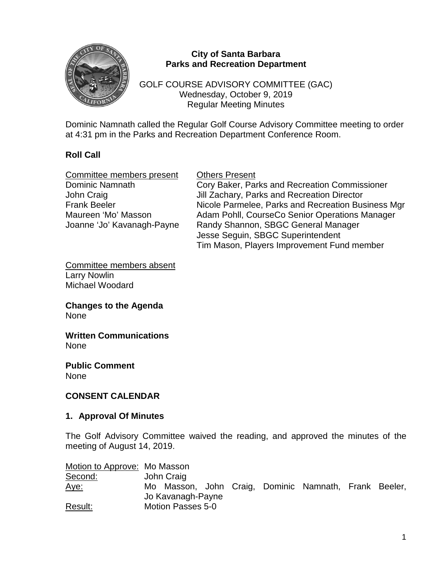

### **City of Santa Barbara Parks and Recreation Department**

GOLF COURSE ADVISORY COMMITTEE (GAC) Wednesday, October 9, 2019 Regular Meeting Minutes

Dominic Namnath called the Regular Golf Course Advisory Committee meeting to order at 4:31 pm in the Parks and Recreation Department Conference Room.

# **Roll Call**

| Committee members present  | <b>Others Present</b>                              |
|----------------------------|----------------------------------------------------|
| Dominic Namnath            | Cory Baker, Parks and Recreation Commissioner      |
| John Craig                 | Jill Zachary, Parks and Recreation Director        |
| <b>Frank Beeler</b>        | Nicole Parmelee, Parks and Recreation Business Mgr |
| Maureen 'Mo' Masson        | Adam Pohll, CourseCo Senior Operations Manager     |
| Joanne 'Jo' Kavanagh-Payne | Randy Shannon, SBGC General Manager                |
|                            | Jesse Seguin, SBGC Superintendent                  |
|                            | Tim Mason, Players Improvement Fund member         |
|                            |                                                    |

Committee members absent Larry Nowlin Michael Woodard

**Changes to the Agenda** None

**Written Communications** None

**Public Comment** None

## **CONSENT CALENDAR**

#### **1. Approval Of Minutes**

The Golf Advisory Committee waived the reading, and approved the minutes of the meeting of August 14, 2019.

Motion to Approve: Mo Masson Second: John Craig Aye: Mo Masson, John Craig, Dominic Namnath, Frank Beeler, Jo Kavanagh-Payne Result: Motion Passes 5-0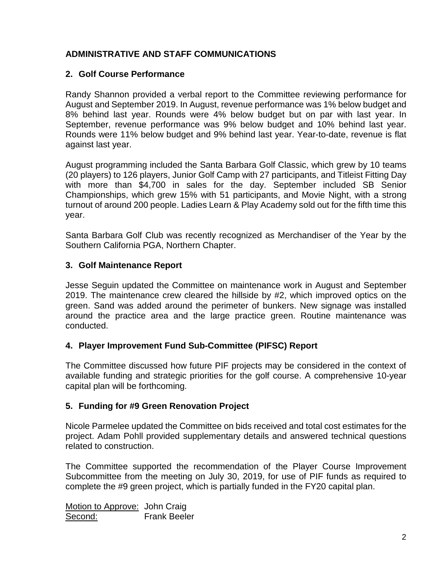# **ADMINISTRATIVE AND STAFF COMMUNICATIONS**

## **2. Golf Course Performance**

Randy Shannon provided a verbal report to the Committee reviewing performance for August and September 2019. In August, revenue performance was 1% below budget and 8% behind last year. Rounds were 4% below budget but on par with last year. In September, revenue performance was 9% below budget and 10% behind last year. Rounds were 11% below budget and 9% behind last year. Year-to-date, revenue is flat against last year.

August programming included the Santa Barbara Golf Classic, which grew by 10 teams (20 players) to 126 players, Junior Golf Camp with 27 participants, and Titleist Fitting Day with more than \$4,700 in sales for the day. September included SB Senior Championships, which grew 15% with 51 participants, and Movie Night, with a strong turnout of around 200 people. Ladies Learn & Play Academy sold out for the fifth time this year.

Santa Barbara Golf Club was recently recognized as Merchandiser of the Year by the Southern California PGA, Northern Chapter.

#### **3. Golf Maintenance Report**

Jesse Seguin updated the Committee on maintenance work in August and September 2019. The maintenance crew cleared the hillside by #2, which improved optics on the green. Sand was added around the perimeter of bunkers. New signage was installed around the practice area and the large practice green. Routine maintenance was conducted.

## **4. Player Improvement Fund Sub-Committee (PIFSC) Report**

The Committee discussed how future PIF projects may be considered in the context of available funding and strategic priorities for the golf course. A comprehensive 10-year capital plan will be forthcoming.

#### **5. Funding for #9 Green Renovation Project**

Nicole Parmelee updated the Committee on bids received and total cost estimates for the project. Adam Pohll provided supplementary details and answered technical questions related to construction.

The Committee supported the recommendation of the Player Course Improvement Subcommittee from the meeting on July 30, 2019, for use of PIF funds as required to complete the #9 green project, which is partially funded in the FY20 capital plan.

Motion to Approve: John Craig Second: Frank Beeler